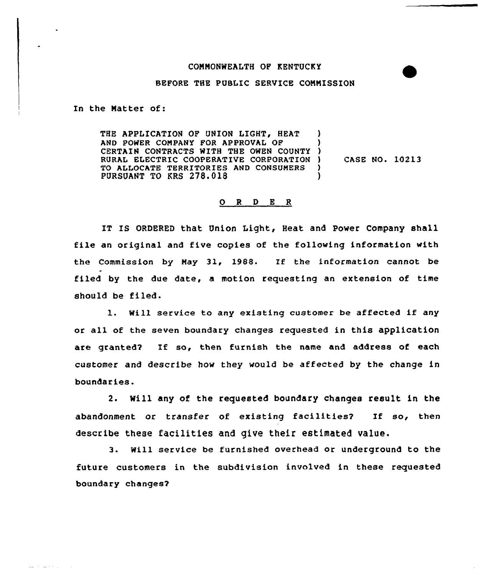## CONNONWEALTH OF KENTUCKY

## BEFORE THE PUBLIC SERVICE COMMISSION

In the Natter of:

 $\frac{1}{2} \frac{1}{2} \left[ \frac{1}{2} \left( \frac{1}{2} \frac{1}{2} \right) \frac{1}{2} \left( \frac{1}{2} \left( \frac{1}{2} \right) \right) \right]$ 

THE APPLICATION OF UNION LIGHT, HEAT AND POWER CONPANY FOR APPROVAL OF CERTAIN CONTRACTS WITH THE OWEN COUNTY RURAL ELECTRIC COOPERATIVE CORPORATION TO ALLOCATE TERRITORIES AND CONSUMERS PURSUANT TO KRS 278.018 ) ) ) CASE NO. 10213 ) )

## 0 <sup>R</sup> 9 E <sup>R</sup>

IT IS ORDERED that Union Light, Heat and Power Company shall file an original and five copies of the fallowing information with the Commission by Nay 31, 1988. If the information cannot be filed by the due date, a motion requesting an extension of time should be filed.

l. Will service to any existing customer be affected if any or all of the seven boundary changes requested in this application are granted? If so, then furnish the name and address of each customer and describe how they would be affected by the change in boundaries.

2. Will any of the requested boundary changes result in the abandonment or transfer of existing facilities? If so, then describe these facilities and give their estimated value.

3. Will service be furnished overhead or underground to the future customers in the subdivision involved in these requested boundary changes?